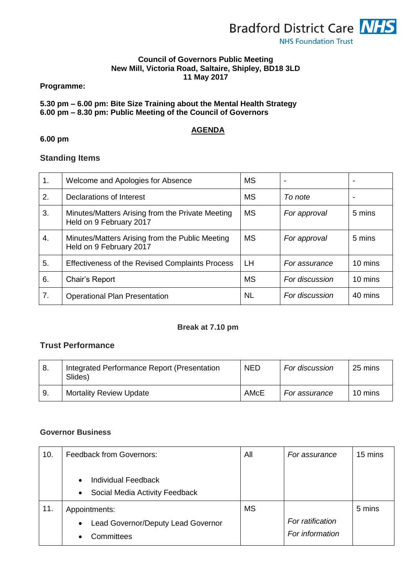

#### **Council of Governors Public Meeting New Mill, Victoria Road, Saltaire, Shipley, BD18 3LD 11 May 2017**

#### **Programme:**

## **5.30 pm – 6.00 pm: Bite Size Training about the Mental Health Strategy 6.00 pm – 8.30 pm: Public Meeting of the Council of Governors**

# **AGENDA**

# **6.00 pm**

# **Standing Items**

| 1. | Welcome and Apologies for Absence                                           | <b>MS</b> | -              | $\overline{\phantom{0}}$ |
|----|-----------------------------------------------------------------------------|-----------|----------------|--------------------------|
| 2. | Declarations of Interest                                                    | <b>MS</b> | To note        |                          |
| 3. | Minutes/Matters Arising from the Private Meeting<br>Held on 9 February 2017 | <b>MS</b> | For approval   | 5 mins                   |
| 4. | Minutes/Matters Arising from the Public Meeting<br>Held on 9 February 2017  | <b>MS</b> | For approval   | 5 mins                   |
| 5. | <b>Effectiveness of the Revised Complaints Process</b>                      | <b>LH</b> | For assurance  | 10 mins                  |
| 6. | Chair's Report                                                              | <b>MS</b> | For discussion | 10 mins                  |
| 7. | <b>Operational Plan Presentation</b>                                        | NL        | For discussion | 40 mins                  |

## **Break at 7.10 pm**

# **Trust Performance**

| -8. | Integrated Performance Report (Presentation<br>Slides) | <b>NED</b> | For discussion | 25 mins |
|-----|--------------------------------------------------------|------------|----------------|---------|
| 9.  | <b>Mortality Review Update</b>                         | AMcE       | For assurance  | 10 mins |

## **Governor Business**

| 10. | <b>Feedback from Governors:</b>                                                        | All       | For assurance    | 15 mins |
|-----|----------------------------------------------------------------------------------------|-----------|------------------|---------|
|     | <b>Individual Feedback</b><br>$\bullet$<br>Social Media Activity Feedback<br>$\bullet$ |           |                  |         |
| 11. | Appointments:                                                                          | <b>MS</b> |                  | 5 mins  |
|     | Lead Governor/Deputy Lead Governor<br>$\bullet$                                        |           | For ratification |         |
|     | Committees                                                                             |           | For information  |         |